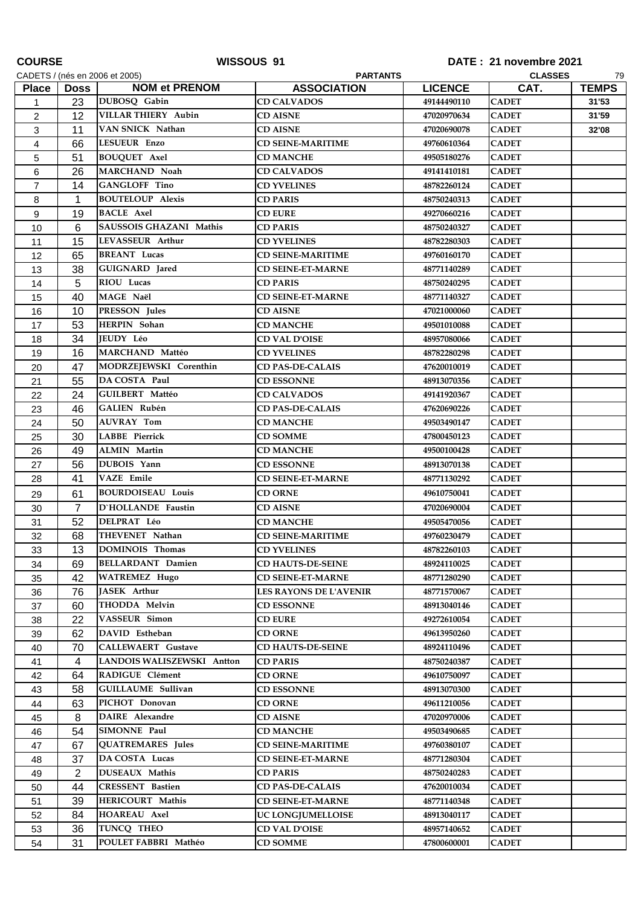| <b>COURSE</b>                  |                | WISSOUS 91                                 |                                       | DATE: 21 novembre 2021     |                              |              |
|--------------------------------|----------------|--------------------------------------------|---------------------------------------|----------------------------|------------------------------|--------------|
| CADETS / (nés en 2006 et 2005) |                |                                            | <b>PARTANTS</b>                       |                            | <b>CLASSES</b>               | 79           |
| <b>Place</b>                   | Doss I         | <b>NOM et PRENOM</b>                       | <b>ASSOCIATION</b>                    | <b>LICENCE</b>             | CAT.                         | <b>TEMPS</b> |
| $\mathbf{1}$                   | 23<br>12       | DUBOSQ Gabin<br><b>VILLAR THIERY Aubin</b> | <b>CD CALVADOS</b><br><b>CD AISNE</b> | 49144490110<br>47020970634 | <b>CADET</b><br><b>CADET</b> | 31'53        |
| 2                              | 11             | VAN SNICK Nathan                           |                                       |                            |                              | 31'59        |
| 3                              |                | <b>LESUEUR Enzo</b>                        | <b>CD AISNE</b>                       | 47020690078                | <b>CADET</b>                 | 32'08        |
| 4                              | 66             |                                            | <b>CD SEINE-MARITIME</b>              | 49760610364                | <b>CADET</b>                 |              |
| 5                              | 51             | <b>BOUQUET Axel</b><br>MARCHAND Noah       | <b>CD MANCHE</b>                      | 49505180276                | <b>CADET</b>                 |              |
| 6                              | 26             |                                            | <b>CD CALVADOS</b>                    | 49141410181                | <b>CADET</b>                 |              |
| $\overline{7}$                 | 14             | <b>GANGLOFF Tino</b>                       | <b>CD YVELINES</b>                    | 48782260124                | <b>CADET</b>                 |              |
| 8                              | 1              | <b>BOUTELOUP Alexis</b>                    | <b>CD PARIS</b>                       | 48750240313                | <b>CADET</b>                 |              |
| 9                              | 19             | <b>BACLE</b> Axel                          | <b>CD EURE</b>                        | 49270660216                | <b>CADET</b>                 |              |
| 10                             | 6              | SAUSSOIS GHAZANI Mathis                    | <b>CD PARIS</b>                       | 48750240327                | <b>CADET</b>                 |              |
| 11                             | 15             | LEVASSEUR Arthur                           | <b>CD YVELINES</b>                    | 48782280303                | <b>CADET</b>                 |              |
| 12                             | 65             | <b>BREANT</b> Lucas                        | <b>CD SEINE-MARITIME</b>              | 49760160170                | <b>CADET</b>                 |              |
| 13                             | 38             | GUIGNARD Jared                             | <b>CD SEINE-ET-MARNE</b>              | 48771140289                | <b>CADET</b>                 |              |
| 14                             | 5              | RIOU Lucas                                 | <b>CD PARIS</b>                       | 48750240295                | <b>CADET</b>                 |              |
| 15                             | 40             | MAGE Naël                                  | <b>CD SEINE-ET-MARNE</b>              | 48771140327                | <b>CADET</b>                 |              |
| 16                             | 10             | PRESSON Jules                              | <b>CD AISNE</b>                       | <b>47021000060</b>         | <b>CADET</b>                 |              |
| 17                             | 53             | HERPIN Sohan                               | <b>CD MANCHE</b>                      | 49501010088                | <b>CADET</b>                 |              |
| 18                             | 34             | <b>IEUDY Léo</b>                           | <b>CD VAL D'OISE</b>                  | 48957080066                | <b>CADET</b>                 |              |
| 19                             | 16             | MARCHAND Mattéo                            | <b>CD YVELINES</b>                    | 48782280298                | <b>CADET</b>                 |              |
| 20                             | 47             | MODRZEJEWSKI Corenthin                     | <b>CD PAS-DE-CALAIS</b>               | 47620010019                | <b>CADET</b>                 |              |
| 21                             | 55             | DA COSTA Paul                              | <b>CD ESSONNE</b>                     | 48913070356                | <b>CADET</b>                 |              |
| 22                             | 24             | <b>GUILBERT Mattéo</b>                     | <b>CD CALVADOS</b>                    | 49141920367                | <b>CADET</b>                 |              |
| 23                             | 46             | <b>GALIEN Rubén</b>                        | <b>CD PAS-DE-CALAIS</b>               | 47620690226                | <b>CADET</b>                 |              |
| 24                             | 50             | <b>AUVRAY Tom</b>                          | <b>CD MANCHE</b>                      | 49503490147                | <b>CADET</b>                 |              |
| 25                             | 30             | <b>LABBE</b> Pierrick                      | <b>CD SOMME</b>                       | 47800450123                | <b>CADET</b>                 |              |
| 26                             | 49             | <b>ALMIN</b> Martin                        | <b>CD MANCHE</b>                      | 49500100428                | <b>CADET</b>                 |              |
| 27                             | 56             | DUBOIS Yann                                | <b>CD ESSONNE</b>                     | 48913070138                | <b>CADET</b>                 |              |
| 28                             | 41             | <b>VAZE</b> Emile                          | <b>CD SEINE-ET-MARNE</b>              | 48771130292                | <b>CADET</b>                 |              |
| 29                             | 61             | <b>BOURDOISEAU Louis</b>                   | <b>CD ORNE</b>                        | 49610750041                | <b>CADET</b>                 |              |
| 30                             | $\overline{7}$ | D'HOLLANDE Faustin                         | <b>CD AISNE</b>                       | 47020690004                | <b>CADET</b>                 |              |
| 31                             | 52             | DELPRAT Léo                                | <b>CD MANCHE</b>                      | 49505470056                | <b>CADET</b>                 |              |
| 32                             | 68             | THEVENET Nathan                            | <b>CD SEINE-MARITIME</b>              | 49760230479                | <b>CADET</b>                 |              |
| 33                             | 13             | DOMINOIS Thomas                            | <b>CD YVELINES</b>                    | 48782260103                | <b>CADET</b>                 |              |
| 34                             | 69             | <b>BELLARDANT Damien</b>                   | <b>CD HAUTS-DE-SEINE</b>              | 48924110025                | <b>CADET</b>                 |              |
| 35                             | 42             | <b>WATREMEZ Hugo</b>                       | <b>CD SEINE-ET-MARNE</b>              | 48771280290                | <b>CADET</b>                 |              |
| 36                             | 76             | <b>JASEK</b> Arthur                        | LES RAYONS DE L'AVENIR                | 48771570067                | <b>CADET</b>                 |              |
| 37                             | 60             | <b>THODDA Melvin</b>                       | <b>CD ESSONNE</b>                     | 48913040146                | <b>CADET</b>                 |              |
| 38                             | 22             | <b>VASSEUR</b> Simon                       | <b>CD EURE</b>                        | 49272610054                | <b>CADET</b>                 |              |
| 39                             | 62             | DAVID Estheban                             | <b>CD ORNE</b>                        | 49613950260                | <b>CADET</b>                 |              |
| 40                             | 70             | <b>CALLEWAERT Gustave</b>                  | <b>CD HAUTS-DE-SEINE</b>              | 48924110496                | <b>CADET</b>                 |              |
| 41                             | 4              | LANDOIS WALISZEWSKI Antton                 | <b>CD PARIS</b>                       | 48750240387                | <b>CADET</b>                 |              |
| 42                             | 64             | RADIGUE Clément                            | <b>CD ORNE</b>                        | 49610750097                | <b>CADET</b>                 |              |
| 43                             | 58             | <b>GUILLAUME</b> Sullivan                  | <b>CD ESSONNE</b>                     | 48913070300                | <b>CADET</b>                 |              |
| 44                             | 63             | PICHOT Donovan                             | <b>CD ORNE</b>                        | 49611210056                | <b>CADET</b>                 |              |
| 45                             | 8              | <b>DAIRE</b> Alexandre                     | <b>CD AISNE</b>                       | 47020970006                | <b>CADET</b>                 |              |
| 46                             | 54             | <b>SIMONNE Paul</b>                        | CD MANCHE                             | 49503490685                | <b>CADET</b>                 |              |
| 47                             | 67             | <b>QUATREMARES</b> Jules                   | <b>CD SEINE-MARITIME</b>              | 49760380107                | <b>CADET</b>                 |              |
| 48                             | 37             | DA COSTA Lucas                             | <b>CD SEINE-ET-MARNE</b>              | 48771280304                | <b>CADET</b>                 |              |
| 49                             | $\overline{2}$ | <b>DUSEAUX Mathis</b>                      | <b>CD PARIS</b>                       | 48750240283                | <b>CADET</b>                 |              |
| 50                             | 44             | <b>CRESSENT Bastien</b>                    | <b>CD PAS-DE-CALAIS</b>               | 47620010034                | <b>CADET</b>                 |              |
| 51                             | 39             | HERICOURT Mathis                           | <b>CD SEINE-ET-MARNE</b>              | 48771140348                | <b>CADET</b>                 |              |
| 52                             | 84             | <b>HOAREAU Axel</b>                        | UC LONGJUMELLOISE                     | 48913040117                | <b>CADET</b>                 |              |
| 53                             | 36             | TUNCQ THEO                                 | <b>CD VAL D'OISE</b>                  | 48957140652                | <b>CADET</b>                 |              |
| 54                             | 31             | POULET FABBRI Mathéo                       | <b>CD SOMME</b>                       | 47800600001                | <b>CADET</b>                 |              |